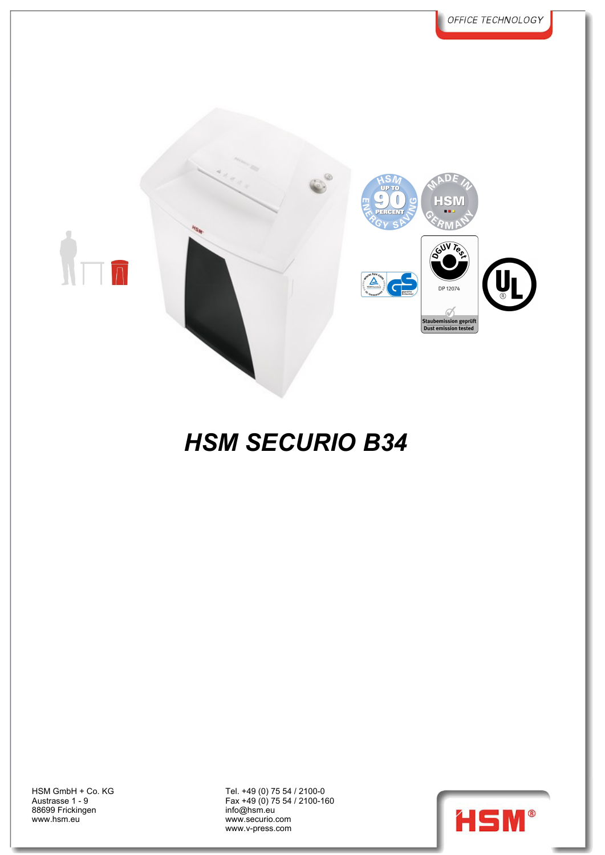

Austrasse 1 - 9 88699 Frickingen www.hsm.eu

HSM GmbH + Co. KG Tel. +49 (0) 75 54 / 2100-0 Fax +49 (0) 75 54 / 2100-160 info@hsm.eu www.securio.com **www.securio.com** www.v-press.com

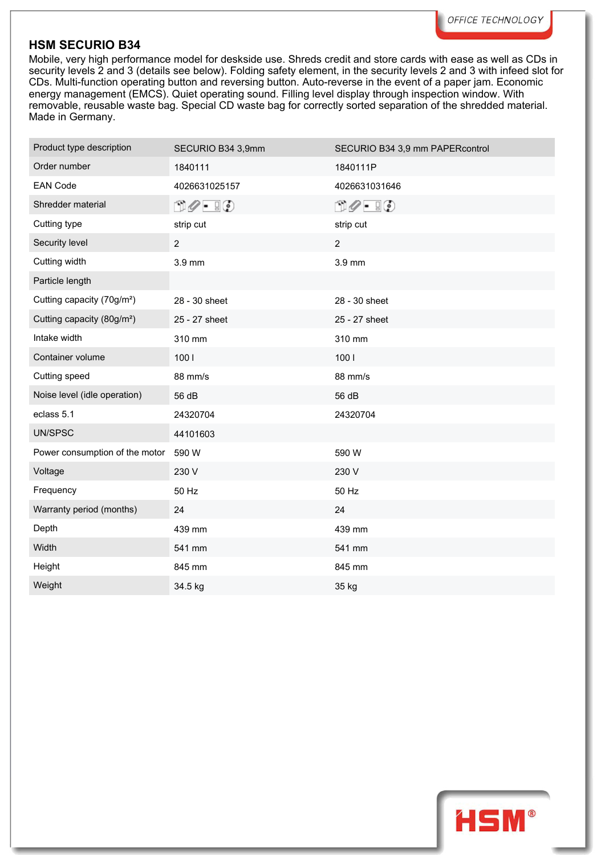Mobile, very high performance model for deskside use. Shreds credit and store cards with ease as well as CDs in security levels 2 and 3 (details see below). Folding safety element, in the security levels 2 and 3 with infeed slot for CDs. Multi-function operating button and reversing button. Auto-reverse in the event of a paper jam. Economic energy management (EMCS). Quiet operating sound. Filling level display through inspection window. With removable, reusable waste bag. Special CD waste bag for correctly sorted separation of the shredded material. Made in Germany.

| Product type description               | SECURIO B34 3,9mm             | SECURIO B34 3,9 mm PAPERcontrol     |
|----------------------------------------|-------------------------------|-------------------------------------|
| Order number                           | 1840111                       | 1840111P                            |
| <b>EAN Code</b>                        | 4026631025157                 | 4026631031646                       |
| Shredder material                      | $\mathbb{D} \mathscr{O}$ . IO | $\Box \oslash \cdot \ \Box \oslash$ |
| Cutting type                           | strip cut                     | strip cut                           |
| Security level                         | $\overline{c}$                | $\overline{2}$                      |
| Cutting width                          | 3.9 mm                        | 3.9 mm                              |
| Particle length                        |                               |                                     |
| Cutting capacity (70g/m <sup>2</sup> ) | 28 - 30 sheet                 | 28 - 30 sheet                       |
| Cutting capacity (80g/m <sup>2</sup> ) | 25 - 27 sheet                 | 25 - 27 sheet                       |
| Intake width                           | 310 mm                        | 310 mm                              |
| Container volume                       | 1001                          | 1001                                |
| Cutting speed                          | 88 mm/s                       | 88 mm/s                             |
| Noise level (idle operation)           | 56 dB                         | 56 dB                               |
| eclass 5.1                             | 24320704                      | 24320704                            |
| UN/SPSC                                | 44101603                      |                                     |
| Power consumption of the motor         | 590 W                         | 590 W                               |
| Voltage                                | 230 V                         | 230 V                               |
| Frequency                              | 50 Hz                         | 50 Hz                               |
| Warranty period (months)               | 24                            | 24                                  |
| Depth                                  | 439 mm                        | 439 mm                              |
| Width                                  | 541 mm                        | 541 mm                              |
| Height                                 | 845 mm                        | 845 mm                              |
| Weight                                 | 34.5 kg                       | 35 kg                               |

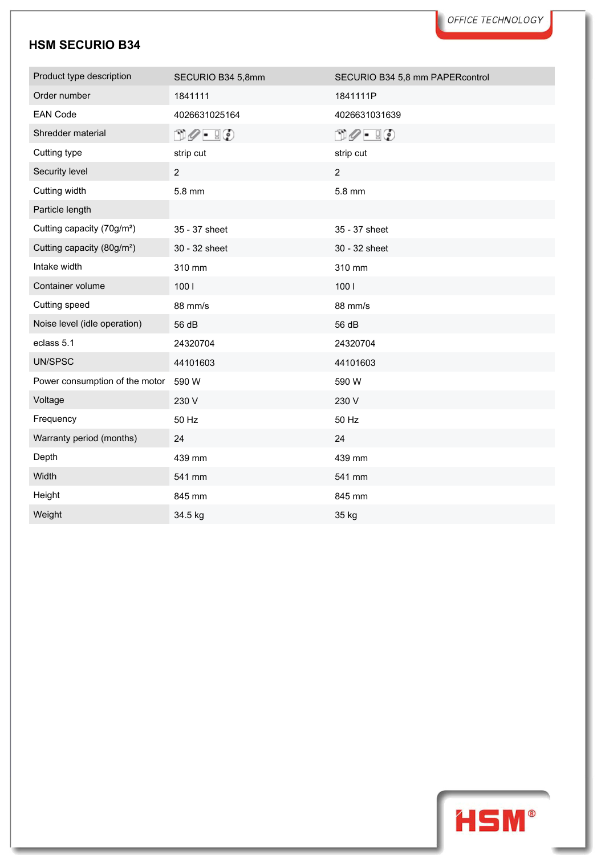| Product type description               | SECURIO B34 5,8mm                                   | SECURIO B34 5,8 mm PAPERcontrol     |  |
|----------------------------------------|-----------------------------------------------------|-------------------------------------|--|
| Order number                           | 1841111                                             | 1841111P                            |  |
| <b>EAN Code</b>                        | 4026631025164                                       | 4026631031639                       |  |
| Shredder material                      | $\mathbb{D} \mathscr{O}$ . $\mathbb{F} \mathscr{O}$ | $\Box \oslash \cdot \ \Box \oslash$ |  |
| Cutting type                           | strip cut                                           | strip cut                           |  |
| Security level                         | $\overline{2}$                                      | $\overline{2}$                      |  |
| Cutting width                          | 5.8 mm                                              | 5.8 mm                              |  |
| Particle length                        |                                                     |                                     |  |
| Cutting capacity (70g/m <sup>2</sup> ) | 35 - 37 sheet                                       | 35 - 37 sheet                       |  |
| Cutting capacity (80g/m <sup>2</sup> ) | 30 - 32 sheet                                       | 30 - 32 sheet                       |  |
| Intake width                           | 310 mm                                              | 310 mm                              |  |
| Container volume                       | 1001                                                | 1001                                |  |
| Cutting speed                          | 88 mm/s                                             | 88 mm/s                             |  |
| Noise level (idle operation)           | 56 dB                                               | 56 dB                               |  |
| eclass 5.1                             | 24320704                                            | 24320704                            |  |
| UN/SPSC                                | 44101603                                            | 44101603                            |  |
| Power consumption of the motor         | 590 W                                               | 590 W                               |  |
| Voltage                                | 230 V                                               | 230 V                               |  |
| Frequency                              | 50 Hz                                               | 50 Hz                               |  |
| Warranty period (months)               | 24                                                  | 24                                  |  |
| Depth                                  | 439 mm                                              | 439 mm                              |  |
| Width                                  | 541 mm                                              | 541 mm                              |  |
| Height                                 | 845 mm                                              | 845 mm                              |  |
| Weight                                 | 34.5 kg                                             | 35 kg                               |  |

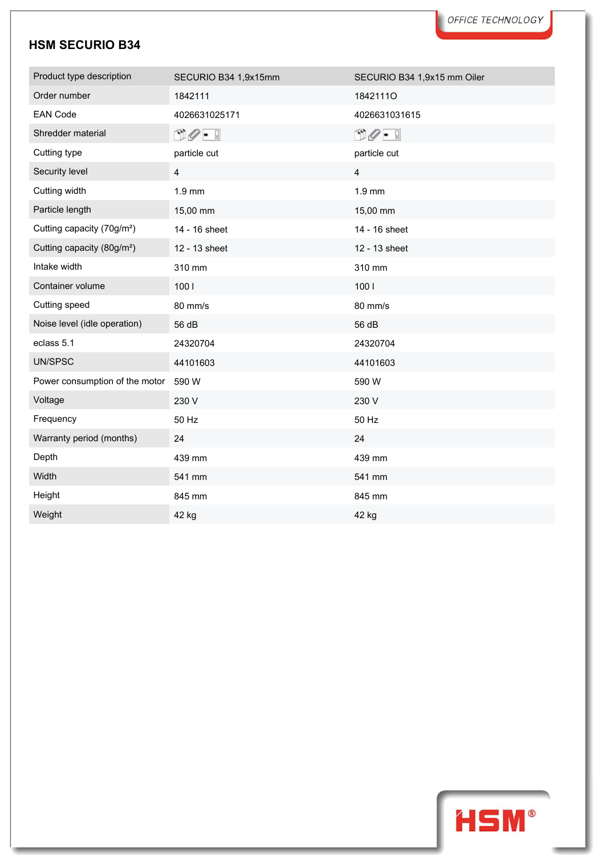| Product type description               | SECURIO B34 1,9x15mm | SECURIO B34 1,9x15 mm Oiler |
|----------------------------------------|----------------------|-----------------------------|
| Order number                           | 1842111              | 18421110                    |
| <b>EAN Code</b>                        | 4026631025171        | 4026631031615               |
| Shredder material                      | 00 - I               | $\mathbb{D}Q$ - 5           |
| Cutting type                           | particle cut         | particle cut                |
| Security level                         | 4                    | 4                           |
| Cutting width                          | 1.9 mm               | $1.9$ mm                    |
| Particle length                        | 15,00 mm             | 15,00 mm                    |
| Cutting capacity (70g/m <sup>2</sup> ) | 14 - 16 sheet        | 14 - 16 sheet               |
| Cutting capacity (80g/m <sup>2</sup> ) | 12 - 13 sheet        | 12 - 13 sheet               |
| Intake width                           | 310 mm               | 310 mm                      |
| Container volume                       | 1001                 | 1001                        |
| Cutting speed                          | 80 mm/s              | 80 mm/s                     |
| Noise level (idle operation)           | 56 dB                | 56 dB                       |
| eclass 5.1                             | 24320704             | 24320704                    |
| UN/SPSC                                | 44101603             | 44101603                    |
| Power consumption of the motor         | 590 W                | 590 W                       |
| Voltage                                | 230 V                | 230 V                       |
| Frequency                              | 50 Hz                | 50 Hz                       |
| Warranty period (months)               | 24                   | 24                          |
| Depth                                  | 439 mm               | 439 mm                      |
| Width                                  | 541 mm               | 541 mm                      |
| Height                                 | 845 mm               | 845 mm                      |
| Weight                                 | 42 kg                | 42 kg                       |

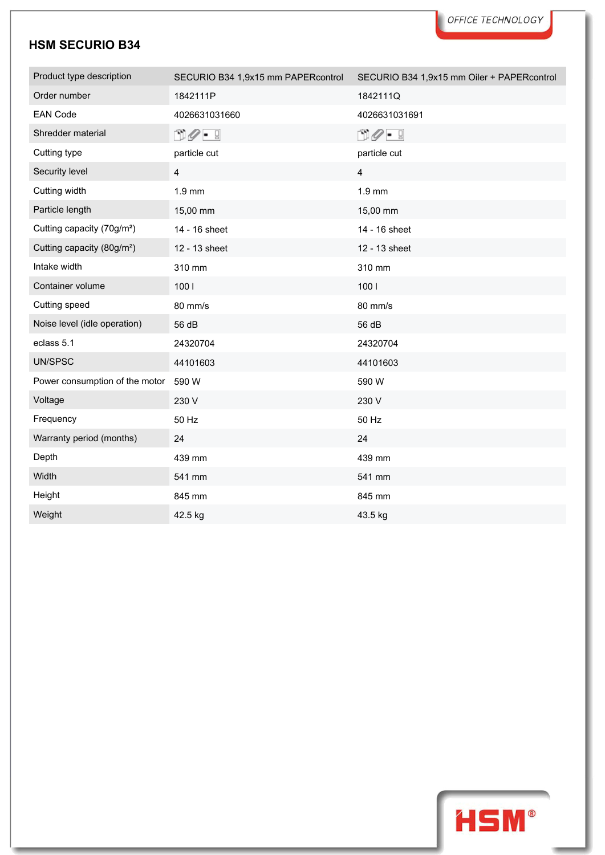| Product type description               | SECURIO B34 1,9x15 mm PAPERcontrol | SECURIO B34 1,9x15 mm Oiler + PAPERcontrol |
|----------------------------------------|------------------------------------|--------------------------------------------|
| Order number                           | 1842111P                           | 1842111Q                                   |
| <b>EAN Code</b>                        | 4026631031660                      | 4026631031691                              |
| Shredder material                      | 00 - I                             | 00 - I                                     |
| Cutting type                           | particle cut                       | particle cut                               |
| Security level                         | 4                                  | 4                                          |
| Cutting width                          | 1.9 mm                             | $1.9$ mm                                   |
| Particle length                        | 15,00 mm                           | 15,00 mm                                   |
| Cutting capacity (70g/m <sup>2</sup> ) | 14 - 16 sheet                      | 14 - 16 sheet                              |
| Cutting capacity (80g/m <sup>2</sup> ) | 12 - 13 sheet                      | 12 - 13 sheet                              |
| Intake width                           | 310 mm                             | 310 mm                                     |
| Container volume                       | 1001                               | 1001                                       |
| Cutting speed                          | 80 mm/s                            | 80 mm/s                                    |
| Noise level (idle operation)           | 56 dB                              | 56 dB                                      |
| eclass 5.1                             | 24320704                           | 24320704                                   |
| UN/SPSC                                | 44101603                           | 44101603                                   |
| Power consumption of the motor         | 590 W                              | 590 W                                      |
| Voltage                                | 230 V                              | 230 V                                      |
| Frequency                              | 50 Hz                              | 50 Hz                                      |
| Warranty period (months)               | 24                                 | 24                                         |
| Depth                                  | 439 mm                             | 439 mm                                     |
| Width                                  | 541 mm                             | 541 mm                                     |
| Height                                 | 845 mm                             | 845 mm                                     |
| Weight                                 | 42.5 kg                            | 43.5 kg                                    |

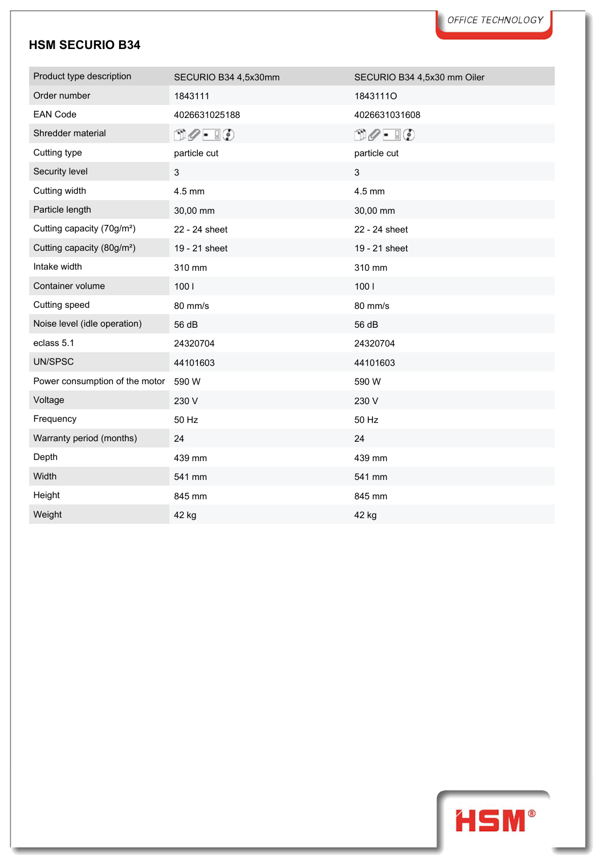| Product type description               | SECURIO B34 4,5x30mm                              | SECURIO B34 4,5x30 mm Oiler                      |
|----------------------------------------|---------------------------------------------------|--------------------------------------------------|
| Order number                           | 1843111                                           | 18431110                                         |
| <b>EAN Code</b>                        | 4026631025188                                     | 4026631031608                                    |
| Shredder material                      | $\mathbb{D}\mathscr{O}$ - $\mathbb{I}\mathscr{O}$ | $\mathbb{D}\mathscr{O}$ - $\mathbb{F}\mathbb{O}$ |
| Cutting type                           | particle cut                                      | particle cut                                     |
| Security level                         | 3                                                 | $\mathbf{3}$                                     |
| Cutting width                          | 4.5 mm                                            | 4.5 mm                                           |
| Particle length                        | 30,00 mm                                          | 30,00 mm                                         |
| Cutting capacity (70g/m <sup>2</sup> ) | 22 - 24 sheet                                     | 22 - 24 sheet                                    |
| Cutting capacity (80g/m <sup>2</sup> ) | 19 - 21 sheet                                     | 19 - 21 sheet                                    |
| Intake width                           | 310 mm                                            | 310 mm                                           |
| Container volume                       | 1001                                              | 1001                                             |
| Cutting speed                          | 80 mm/s                                           | 80 mm/s                                          |
| Noise level (idle operation)           | 56 dB                                             | 56 dB                                            |
| eclass 5.1                             | 24320704                                          | 24320704                                         |
| UN/SPSC                                | 44101603                                          | 44101603                                         |
| Power consumption of the motor         | 590 W                                             | 590 W                                            |
| Voltage                                | 230 V                                             | 230 V                                            |
| Frequency                              | 50 Hz                                             | 50 Hz                                            |
| Warranty period (months)               | 24                                                | 24                                               |
| Depth                                  | 439 mm                                            | 439 mm                                           |
| Width                                  | 541 mm                                            | 541 mm                                           |
| Height                                 | 845 mm                                            | 845 mm                                           |
| Weight                                 | 42 kg                                             | 42 kg                                            |

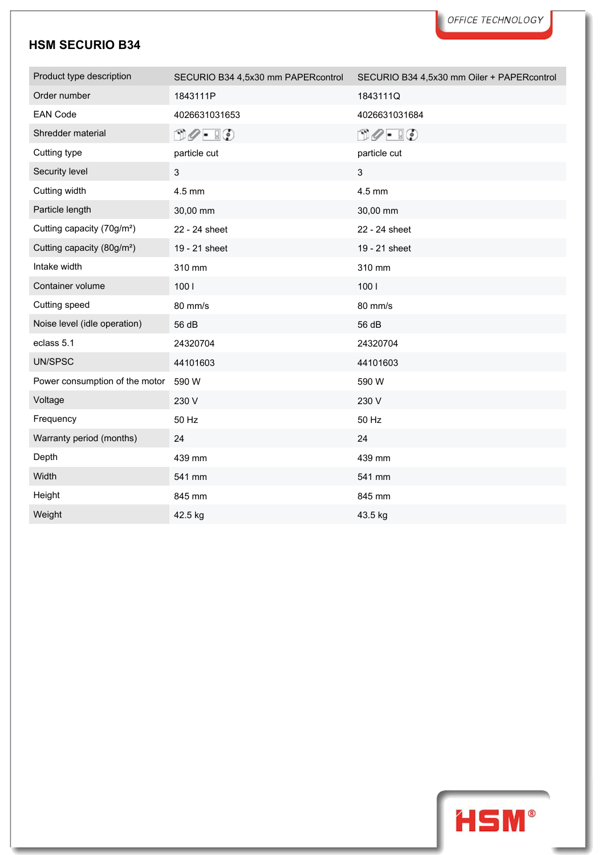| Product type description               | SECURIO B34 4,5x30 mm PAPERcontrol               | SECURIO B34 4,5x30 mm Oiler + PAPERcontrol        |
|----------------------------------------|--------------------------------------------------|---------------------------------------------------|
| Order number                           | 1843111P                                         | 1843111Q                                          |
| <b>EAN Code</b>                        | 4026631031653                                    | 4026631031684                                     |
| Shredder material                      | $\mathbb{D}\mathscr{O}$ - $\mathbb{I}\mathbb{O}$ | $\mathbb{D}\mathscr{O}$ . $\mathbb{F}\mathscr{O}$ |
| Cutting type                           | particle cut                                     | particle cut                                      |
| Security level                         | 3                                                | 3                                                 |
| Cutting width                          | 4.5 mm                                           | 4.5 mm                                            |
| Particle length                        | 30,00 mm                                         | 30,00 mm                                          |
| Cutting capacity (70g/m <sup>2</sup> ) | 22 - 24 sheet                                    | 22 - 24 sheet                                     |
| Cutting capacity (80g/m <sup>2</sup> ) | 19 - 21 sheet                                    | 19 - 21 sheet                                     |
| Intake width                           | 310 mm                                           | 310 mm                                            |
| Container volume                       | 1001                                             | 1001                                              |
| Cutting speed                          | 80 mm/s                                          | 80 mm/s                                           |
| Noise level (idle operation)           | 56 dB                                            | 56 dB                                             |
| eclass 5.1                             | 24320704                                         | 24320704                                          |
| UN/SPSC                                | 44101603                                         | 44101603                                          |
| Power consumption of the motor         | 590 W                                            | 590 W                                             |
| Voltage                                | 230 V                                            | 230 V                                             |
| Frequency                              | 50 Hz                                            | 50 Hz                                             |
| Warranty period (months)               | 24                                               | 24                                                |
| Depth                                  | 439 mm                                           | 439 mm                                            |
| Width                                  | 541 mm                                           | 541 mm                                            |
| Height                                 | 845 mm                                           | 845 mm                                            |
| Weight                                 | 42.5 kg                                          | 43.5 kg                                           |

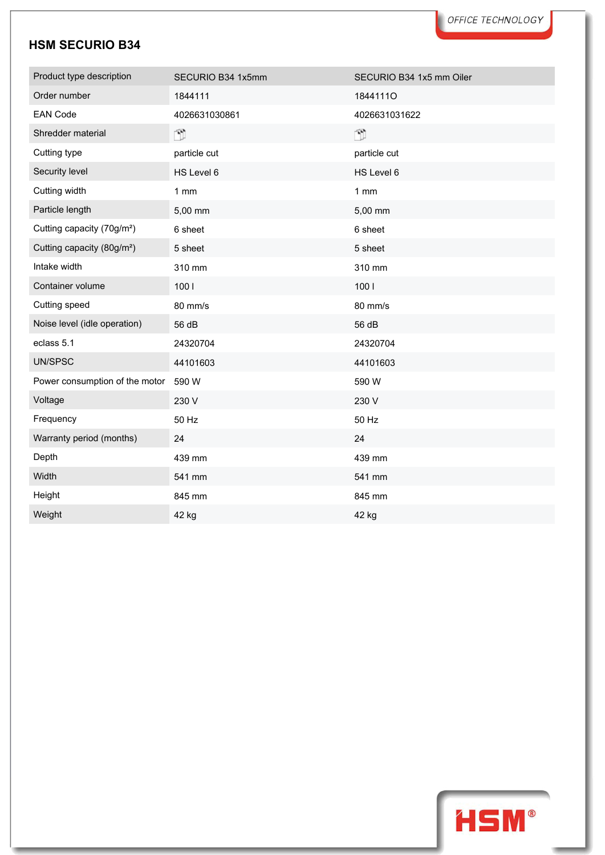| Product type description               | SECURIO B34 1x5mm | SECURIO B34 1x5 mm Oiler |
|----------------------------------------|-------------------|--------------------------|
| Order number                           | 1844111           | 18441110                 |
| <b>EAN Code</b>                        | 4026631030861     | 4026631031622            |
| Shredder material                      | ŤÌ                | Ñ.                       |
| Cutting type                           | particle cut      | particle cut             |
| Security level                         | HS Level 6        | HS Level 6               |
| Cutting width                          | $1$ mm            | 1 mm                     |
| Particle length                        | 5,00 mm           | 5,00 mm                  |
| Cutting capacity (70g/m <sup>2</sup> ) | 6 sheet           | 6 sheet                  |
| Cutting capacity (80g/m <sup>2</sup> ) | 5 sheet           | 5 sheet                  |
| Intake width                           | 310 mm            | 310 mm                   |
| Container volume                       | 1001              | 1001                     |
| Cutting speed                          | 80 mm/s           | 80 mm/s                  |
| Noise level (idle operation)           | 56 dB             | 56 dB                    |
| eclass 5.1                             | 24320704          | 24320704                 |
| UN/SPSC                                | 44101603          | 44101603                 |
| Power consumption of the motor         | 590 W             | 590 W                    |
| Voltage                                | 230 V             | 230 V                    |
| Frequency                              | 50 Hz             | 50 Hz                    |
| Warranty period (months)               | 24                | 24                       |
| Depth                                  | 439 mm            | 439 mm                   |
| Width                                  | 541 mm            | 541 mm                   |
| Height                                 | 845 mm            | 845 mm                   |
| Weight                                 | 42 kg             | 42 kg                    |

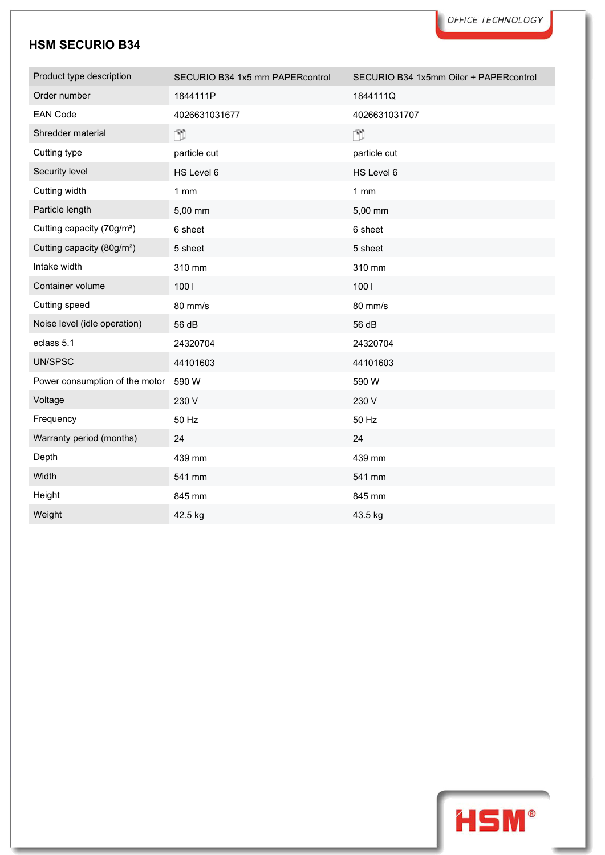| Product type description               | SECURIO B34 1x5 mm PAPERcontrol | SECURIO B34 1x5mm Oiler + PAPERcontrol |
|----------------------------------------|---------------------------------|----------------------------------------|
| Order number                           | 1844111P                        | 1844111Q                               |
| <b>EAN Code</b>                        | 4026631031677                   | 4026631031707                          |
| Shredder material                      | Ÿ                               | Ñ                                      |
| Cutting type                           | particle cut                    | particle cut                           |
| Security level                         | HS Level 6                      | HS Level 6                             |
| Cutting width                          | 1mm                             | 1 mm                                   |
| Particle length                        | 5,00 mm                         | 5,00 mm                                |
| Cutting capacity (70g/m <sup>2</sup> ) | 6 sheet                         | 6 sheet                                |
| Cutting capacity (80g/m <sup>2</sup> ) | 5 sheet                         | 5 sheet                                |
| Intake width                           | 310 mm                          | 310 mm                                 |
| Container volume                       | 1001                            | 1001                                   |
| Cutting speed                          | 80 mm/s                         | 80 mm/s                                |
| Noise level (idle operation)           | 56 dB                           | 56 dB                                  |
| eclass 5.1                             | 24320704                        | 24320704                               |
| UN/SPSC                                | 44101603                        | 44101603                               |
| Power consumption of the motor         | 590 W                           | 590 W                                  |
| Voltage                                | 230 V                           | 230 V                                  |
| Frequency                              | 50 Hz                           | 50 Hz                                  |
| Warranty period (months)               | 24                              | 24                                     |
| Depth                                  | 439 mm                          | 439 mm                                 |
| Width                                  | 541 mm                          | 541 mm                                 |
| Height                                 | 845 mm                          | 845 mm                                 |
| Weight                                 | 42.5 kg                         | 43.5 kg                                |

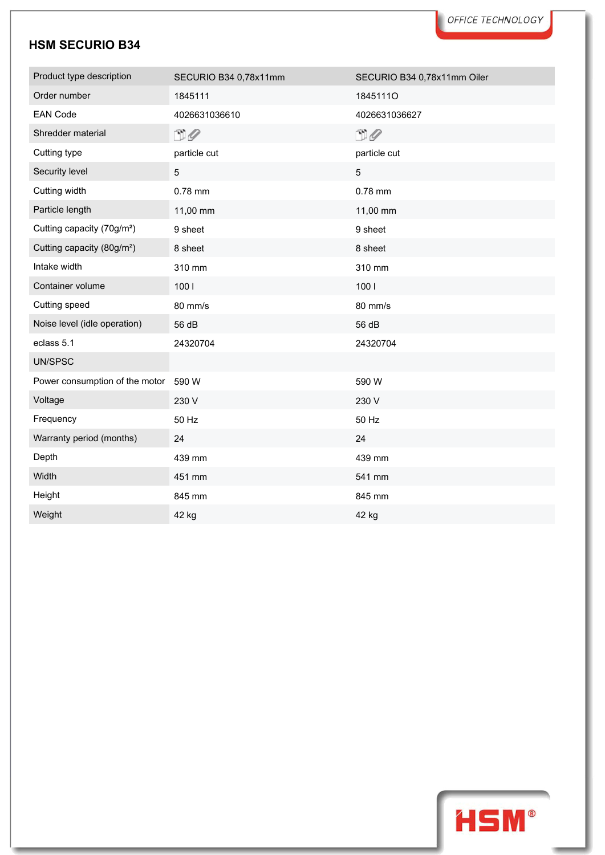| Product type description               | SECURIO B34 0,78x11mm | SECURIO B34 0,78x11mm Oiler |
|----------------------------------------|-----------------------|-----------------------------|
| Order number                           | 1845111               | 18451110                    |
| <b>EAN Code</b>                        | 4026631036610         | 4026631036627               |
| Shredder material                      | $\Box$                | $\square$                   |
| Cutting type                           | particle cut          | particle cut                |
| Security level                         | 5                     | 5                           |
| Cutting width                          | 0.78 mm               | 0.78 mm                     |
| Particle length                        | 11,00 mm              | 11,00 mm                    |
| Cutting capacity (70g/m <sup>2</sup> ) | 9 sheet               | 9 sheet                     |
| Cutting capacity (80g/m <sup>2</sup> ) | 8 sheet               | 8 sheet                     |
| Intake width                           | 310 mm                | 310 mm                      |
| Container volume                       | 100 l                 | 1001                        |
| Cutting speed                          | 80 mm/s               | 80 mm/s                     |
| Noise level (idle operation)           | 56 dB                 | 56 dB                       |
| eclass 5.1                             | 24320704              | 24320704                    |
| UN/SPSC                                |                       |                             |
| Power consumption of the motor         | 590 W                 | 590 W                       |
| Voltage                                | 230 V                 | 230 V                       |
| Frequency                              | 50 Hz                 | 50 Hz                       |
| Warranty period (months)               | 24                    | 24                          |
| Depth                                  | 439 mm                | 439 mm                      |
| Width                                  | 451 mm                | 541 mm                      |
| Height                                 | 845 mm                | 845 mm                      |
| Weight                                 | 42 kg                 | 42 kg                       |